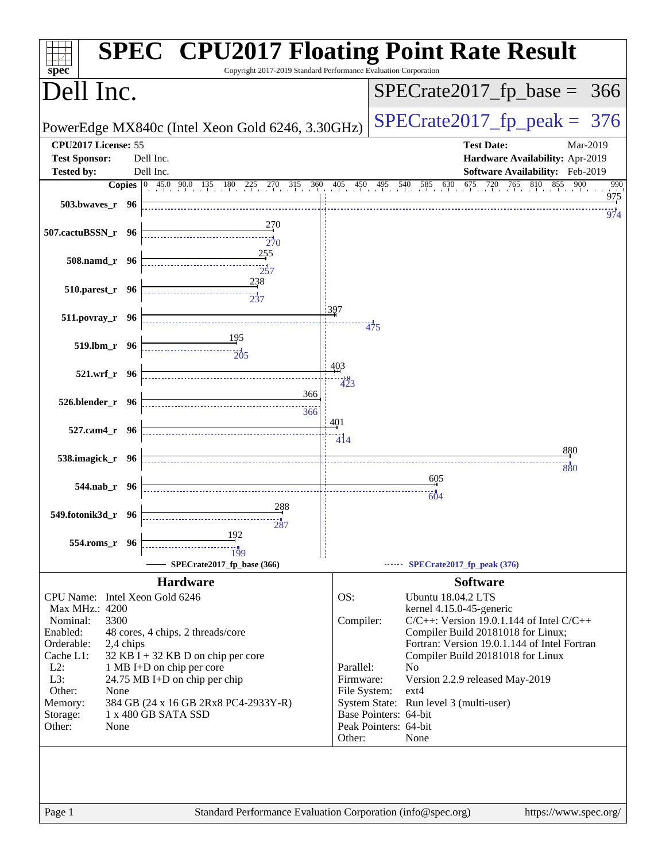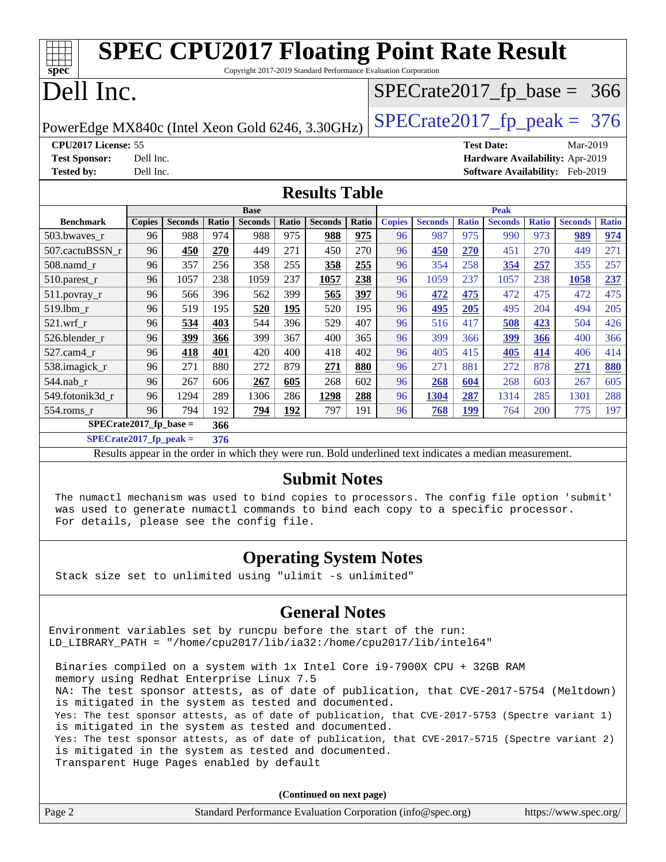| <b>SPEC CPU2017 Floating Point Rate Result</b>                                                           |               |                |       |                |       |                |       |               |                |              |                   |              |                                 |              |
|----------------------------------------------------------------------------------------------------------|---------------|----------------|-------|----------------|-------|----------------|-------|---------------|----------------|--------------|-------------------|--------------|---------------------------------|--------------|
| $spec^*$<br>Copyright 2017-2019 Standard Performance Evaluation Corporation                              |               |                |       |                |       |                |       |               |                |              |                   |              |                                 |              |
|                                                                                                          | Dell Inc.     |                |       |                |       |                |       |               |                |              |                   |              | $SPECrate2017_fp\_base = 366$   |              |
| $SPECTate2017$ _fp_peak = 376<br>PowerEdge MX840c (Intel Xeon Gold 6246, 3.30GHz)                        |               |                |       |                |       |                |       |               |                |              |                   |              |                                 |              |
| CPU2017 License: 55                                                                                      |               |                |       |                |       |                |       |               |                |              | <b>Test Date:</b> |              | Mar-2019                        |              |
| <b>Test Sponsor:</b>                                                                                     | Dell Inc.     |                |       |                |       |                |       |               |                |              |                   |              | Hardware Availability: Apr-2019 |              |
| <b>Tested by:</b>                                                                                        | Dell Inc.     |                |       |                |       |                |       |               |                |              |                   |              | Software Availability: Feb-2019 |              |
| <b>Results Table</b>                                                                                     |               |                |       |                |       |                |       |               |                |              |                   |              |                                 |              |
|                                                                                                          |               |                |       | <b>Base</b>    |       |                |       |               |                |              | <b>Peak</b>       |              |                                 |              |
| <b>Benchmark</b>                                                                                         | <b>Copies</b> | <b>Seconds</b> | Ratio | <b>Seconds</b> | Ratio | <b>Seconds</b> | Ratio | <b>Copies</b> | <b>Seconds</b> | <b>Ratio</b> | <b>Seconds</b>    | <b>Ratio</b> | <b>Seconds</b>                  | <b>Ratio</b> |
| 503.bwaves_r                                                                                             | 96            | 988            | 974   | 988            | 975   | 988            | 975   | 96            | 987            | 975          | 990               | 973          | 989                             | 974          |
| 507.cactuBSSN r                                                                                          | 96            | 450            | 270   | 449            | 271   | 450            | 270   | 96            | 450            | 270          | 451               | 270          | 449                             | 271          |
| 508.namd_r                                                                                               | 96            | 357            | 256   | 358            | 255   | 358            | 255   | 96            | 354            | 258          | 354               | 257          | 355                             | 257          |
| 510.parest_r                                                                                             | 96            | 1057           | 238   | 1059           | 237   | 1057           | 238   | 96            | 1059           | 237          | 1057              | 238          | 1058                            | 237          |
| 511.povray_r                                                                                             | 96            | 566            | 396   | 562            | 399   | 565            | 397   | 96            | 472            | 475          | 472               | 475          | 472                             | 475          |
| 519.1bm r                                                                                                | 96            | 519            | 195   | 520            | 195   | 520            | 195   | 96            | 495            | 205          | 495               | 204          | 494                             | 205          |
| $521.wrf_r$                                                                                              | 96            | 534            | 403   | 544            | 396   | 529            | 407   | 96            | 516            | 417          | 508               | 423          | 504                             | 426          |
| 526.blender_r                                                                                            | 96            | 399            | 366   | 399            | 367   | 400            | 365   | 96            | 399            | 366          | 399               | 366          | 400                             | 366          |
| 527.cam4_r                                                                                               | 96            | 418            | 401   | 420            | 400   | 418            | 402   | 96            | 405            | 415          | 405               | 414          | 406                             | 414          |
| 538.imagick_r                                                                                            | 96            | 271            | 880   | 272            | 879   | 271            | 880   | 96            | 271            | 881          | 272               | 878          | 271                             | 880          |
| 544.nab_r                                                                                                | 96            | 267            | 606   | 267            | 605   | 268            | 602   | 96            | 268            | 604          | 268               | 603          | 267                             | 605          |
| 549.fotonik3d r                                                                                          | 96            | 1294           | 289   | 1306           | 286   | 1298           | 288   | 96            | 1304           | 287          | 1314              | 285          | 1301                            | 288          |
| 554.roms_r                                                                                               | 96            | 794            | 192   | 794            | 192   | 797            | 191   | 96            | 768            | 199          | 764               | 200          | 775                             | 197          |
| $SPECrate2017_fp\_base =$                                                                                |               |                | 366   |                |       |                |       |               |                |              |                   |              |                                 |              |
| $SPECrate2017_fp\_peak =$                                                                                |               |                | 376   |                |       |                |       |               |                |              |                   |              |                                 |              |
| Results appear in the order in which they were run. Bold underlined text indicates a median measurement. |               |                |       |                |       |                |       |               |                |              |                   |              |                                 |              |

### **[Submit Notes](http://www.spec.org/auto/cpu2017/Docs/result-fields.html#SubmitNotes)**

 The numactl mechanism was used to bind copies to processors. The config file option 'submit' was used to generate numactl commands to bind each copy to a specific processor. For details, please see the config file.

### **[Operating System Notes](http://www.spec.org/auto/cpu2017/Docs/result-fields.html#OperatingSystemNotes)**

Stack size set to unlimited using "ulimit -s unlimited"

#### **[General Notes](http://www.spec.org/auto/cpu2017/Docs/result-fields.html#GeneralNotes)**

Environment variables set by runcpu before the start of the run: LD\_LIBRARY\_PATH = "/home/cpu2017/lib/ia32:/home/cpu2017/lib/intel64"

 Binaries compiled on a system with 1x Intel Core i9-7900X CPU + 32GB RAM memory using Redhat Enterprise Linux 7.5 NA: The test sponsor attests, as of date of publication, that CVE-2017-5754 (Meltdown) is mitigated in the system as tested and documented. Yes: The test sponsor attests, as of date of publication, that CVE-2017-5753 (Spectre variant 1) is mitigated in the system as tested and documented. Yes: The test sponsor attests, as of date of publication, that CVE-2017-5715 (Spectre variant 2) is mitigated in the system as tested and documented. Transparent Huge Pages enabled by default

**(Continued on next page)**

| Page. | Standard Performance Evaluation Corporation (info@spec.org) | https://www.spec.org/ |
|-------|-------------------------------------------------------------|-----------------------|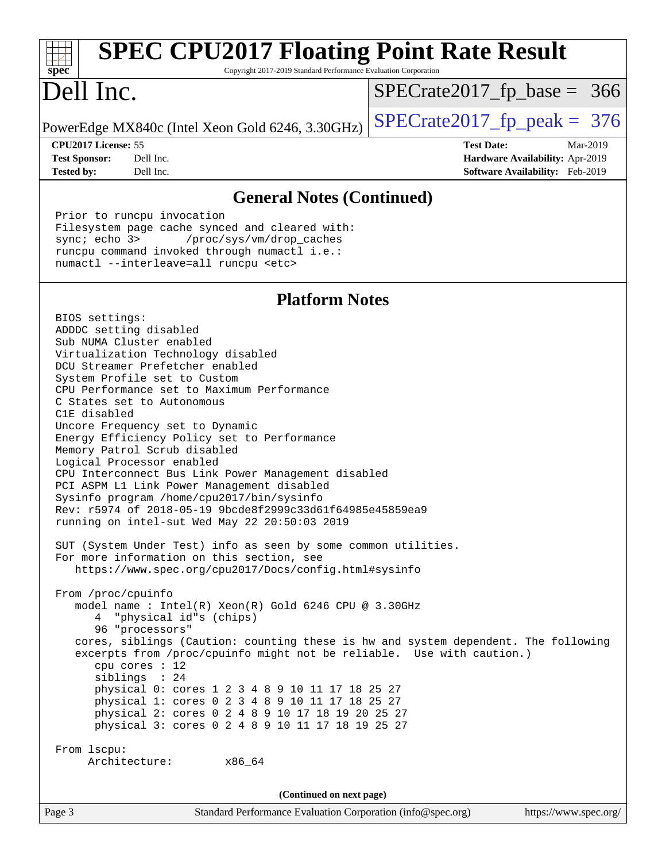| <b>SPEC CPU2017 Floating Point Rate Result</b><br>Copyright 2017-2019 Standard Performance Evaluation Corporation<br>$spec^*$                                                                                                                                                                                                                                                                                                                                                                                                                                                                                                                                                                                                                                                                                                                                                                                                                                                                                                                                                                                                                                                                                                                                                                                                                                                                                                                            |                                                                  |
|----------------------------------------------------------------------------------------------------------------------------------------------------------------------------------------------------------------------------------------------------------------------------------------------------------------------------------------------------------------------------------------------------------------------------------------------------------------------------------------------------------------------------------------------------------------------------------------------------------------------------------------------------------------------------------------------------------------------------------------------------------------------------------------------------------------------------------------------------------------------------------------------------------------------------------------------------------------------------------------------------------------------------------------------------------------------------------------------------------------------------------------------------------------------------------------------------------------------------------------------------------------------------------------------------------------------------------------------------------------------------------------------------------------------------------------------------------|------------------------------------------------------------------|
| Dell Inc.                                                                                                                                                                                                                                                                                                                                                                                                                                                                                                                                                                                                                                                                                                                                                                                                                                                                                                                                                                                                                                                                                                                                                                                                                                                                                                                                                                                                                                                | $SPECrate2017_fp\_base = 366$                                    |
| PowerEdge MX840c (Intel Xeon Gold 6246, 3.30GHz)                                                                                                                                                                                                                                                                                                                                                                                                                                                                                                                                                                                                                                                                                                                                                                                                                                                                                                                                                                                                                                                                                                                                                                                                                                                                                                                                                                                                         | $SPECrate2017_fp\_peak = 376$                                    |
| CPU2017 License: 55<br><b>Test Sponsor:</b><br>Dell Inc.                                                                                                                                                                                                                                                                                                                                                                                                                                                                                                                                                                                                                                                                                                                                                                                                                                                                                                                                                                                                                                                                                                                                                                                                                                                                                                                                                                                                 | <b>Test Date:</b><br>Mar-2019<br>Hardware Availability: Apr-2019 |
| Dell Inc.<br><b>Tested by:</b>                                                                                                                                                                                                                                                                                                                                                                                                                                                                                                                                                                                                                                                                                                                                                                                                                                                                                                                                                                                                                                                                                                                                                                                                                                                                                                                                                                                                                           | Software Availability: Feb-2019                                  |
| <b>General Notes (Continued)</b>                                                                                                                                                                                                                                                                                                                                                                                                                                                                                                                                                                                                                                                                                                                                                                                                                                                                                                                                                                                                                                                                                                                                                                                                                                                                                                                                                                                                                         |                                                                  |
| Prior to runcpu invocation<br>Filesystem page cache synced and cleared with:<br>sync $i$ echo $3$<br>/proc/sys/vm/drop_caches<br>runcpu command invoked through numactl i.e.:<br>numactl --interleave=all runcpu <etc></etc>                                                                                                                                                                                                                                                                                                                                                                                                                                                                                                                                                                                                                                                                                                                                                                                                                                                                                                                                                                                                                                                                                                                                                                                                                             |                                                                  |
| <b>Platform Notes</b>                                                                                                                                                                                                                                                                                                                                                                                                                                                                                                                                                                                                                                                                                                                                                                                                                                                                                                                                                                                                                                                                                                                                                                                                                                                                                                                                                                                                                                    |                                                                  |
| BIOS settings:<br>ADDDC setting disabled<br>Sub NUMA Cluster enabled<br>Virtualization Technology disabled<br>DCU Streamer Prefetcher enabled<br>System Profile set to Custom<br>CPU Performance set to Maximum Performance<br>C States set to Autonomous<br>C1E disabled<br>Uncore Frequency set to Dynamic<br>Energy Efficiency Policy set to Performance<br>Memory Patrol Scrub disabled<br>Logical Processor enabled<br>CPU Interconnect Bus Link Power Management disabled<br>PCI ASPM L1 Link Power Management disabled<br>Sysinfo program /home/cpu2017/bin/sysinfo<br>Rev: r5974 of 2018-05-19 9bcde8f2999c33d61f64985e45859ea9<br>running on intel-sut Wed May 22 20:50:03 2019<br>SUT (System Under Test) info as seen by some common utilities.<br>For more information on this section, see<br>https://www.spec.org/cpu2017/Docs/config.html#sysinfo<br>From /proc/cpuinfo<br>model name : Intel(R) Xeon(R) Gold 6246 CPU @ 3.30GHz<br>4 "physical id"s (chips)<br>96 "processors"<br>cores, siblings (Caution: counting these is hw and system dependent. The following<br>excerpts from /proc/cpuinfo might not be reliable. Use with caution.)<br>cpu cores : 12<br>siblings : 24<br>physical 0: cores 1 2 3 4 8 9 10 11 17 18 25 27<br>physical 1: cores 0 2 3 4 8 9 10 11 17 18 25 27<br>physical 2: cores 0 2 4 8 9 10 17 18 19 20 25 27<br>physical 3: cores 0 2 4 8 9 10 11 17 18 19 25 27<br>From 1scpu:<br>Architecture:<br>x86_64 |                                                                  |
| (Continued on next page)                                                                                                                                                                                                                                                                                                                                                                                                                                                                                                                                                                                                                                                                                                                                                                                                                                                                                                                                                                                                                                                                                                                                                                                                                                                                                                                                                                                                                                 |                                                                  |
| Page 3<br>Standard Performance Evaluation Corporation (info@spec.org)                                                                                                                                                                                                                                                                                                                                                                                                                                                                                                                                                                                                                                                                                                                                                                                                                                                                                                                                                                                                                                                                                                                                                                                                                                                                                                                                                                                    | https://www.spec.org/                                            |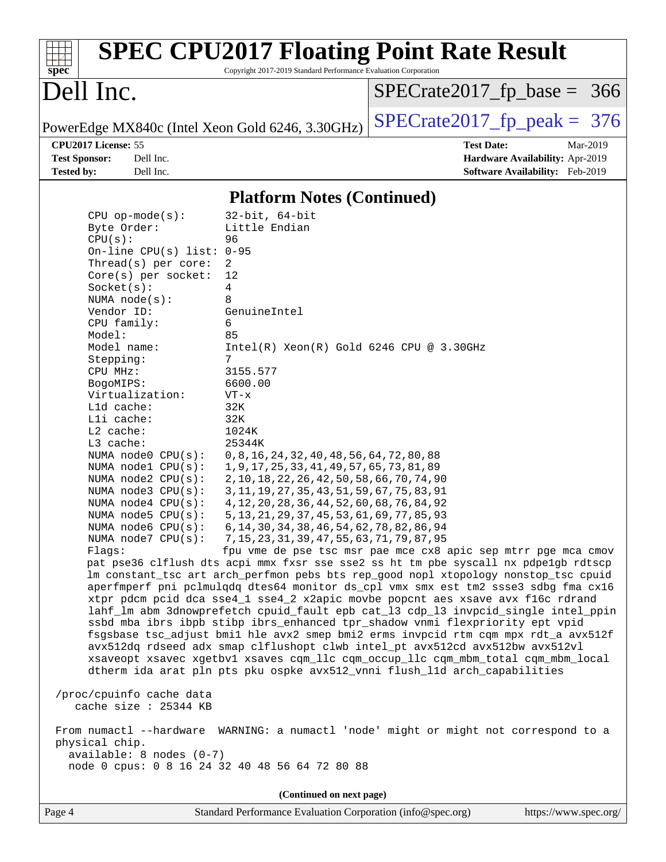|                                                  |                                                                 | <b>SPEC CPU2017 Floating Point Rate Result</b> |
|--------------------------------------------------|-----------------------------------------------------------------|------------------------------------------------|
| spec <sup>®</sup>                                | Copyright 2017-2019 Standard Performance Evaluation Corporation |                                                |
| Dell Inc.                                        |                                                                 | $SPECrate2017_fp\_base = 366$                  |
| PowerEdge MX840c (Intel Xeon Gold 6246, 3.30GHz) |                                                                 | $SPECrate2017_fp\_peak = 376$                  |
| CPU2017 License: 55                              |                                                                 | <b>Test Date:</b><br>Mar-2019                  |
| Dell Inc.<br><b>Test Sponsor:</b>                |                                                                 | <b>Hardware Availability: Apr-2019</b>         |
| <b>Tested by:</b><br>Dell Inc.                   |                                                                 | Software Availability: Feb-2019                |
|                                                  | <b>Platform Notes (Continued)</b>                               |                                                |
| $CPU$ op-mode( $s$ ):                            | $32$ -bit, $64$ -bit                                            |                                                |
| Byte Order:                                      | Little Endian                                                   |                                                |
| CPU(s):                                          | 96                                                              |                                                |
| On-line CPU(s) list: 0-95                        |                                                                 |                                                |
| Thread( $s$ ) per core:                          | $\mathcal{D}$                                                   |                                                |
| $Core(s)$ per socket:                            | 12                                                              |                                                |
| Socket(s):                                       | 4                                                               |                                                |
| NUMA $node(s)$ :<br>Vendor ID:                   | 8<br>GenuineIntel                                               |                                                |
| CPU family:                                      | 6                                                               |                                                |
| Model:                                           | 85                                                              |                                                |
| Model name:                                      | $Intel(R)$ Xeon $(R)$ Gold 6246 CPU @ 3.30GHz                   |                                                |
| Stepping:                                        | 7                                                               |                                                |
| CPU MHz:                                         | 3155.577                                                        |                                                |
| BogoMIPS:                                        | 6600.00                                                         |                                                |
| Virtualization:                                  | $VT - x$                                                        |                                                |

 NUMA node0 CPU(s): 0,8,16,24,32,40,48,56,64,72,80,88 NUMA node1 CPU(s): 1,9,17,25,33,41,49,57,65,73,81,89 NUMA node2 CPU(s): 2,10,18,22,26,42,50,58,66,70,74,90 NUMA node3 CPU(s): 3,11,19,27,35,43,51,59,67,75,83,91 NUMA node4 CPU(s): 4,12,20,28,36,44,52,60,68,76,84,92 NUMA node5 CPU(s): 5,13,21,29,37,45,53,61,69,77,85,93 NUMA node6 CPU(s): 6,14,30,34,38,46,54,62,78,82,86,94

 NUMA node7 CPU(s): 7,15,23,31,39,47,55,63,71,79,87,95 Flags: fpu vme de pse tsc msr pae mce cx8 apic sep mtrr pge mca cmov pat pse36 clflush dts acpi mmx fxsr sse sse2 ss ht tm pbe syscall nx pdpe1gb rdtscp lm constant\_tsc art arch\_perfmon pebs bts rep\_good nopl xtopology nonstop\_tsc cpuid aperfmperf pni pclmulqdq dtes64 monitor ds\_cpl vmx smx est tm2 ssse3 sdbg fma cx16 xtpr pdcm pcid dca sse4\_1 sse4\_2 x2apic movbe popcnt aes xsave avx f16c rdrand lahf\_lm abm 3dnowprefetch cpuid\_fault epb cat\_l3 cdp\_l3 invpcid\_single intel\_ppin ssbd mba ibrs ibpb stibp ibrs\_enhanced tpr\_shadow vnmi flexpriority ept vpid fsgsbase tsc\_adjust bmi1 hle avx2 smep bmi2 erms invpcid rtm cqm mpx rdt\_a avx512f avx512dq rdseed adx smap clflushopt clwb intel\_pt avx512cd avx512bw avx512vl xsaveopt xsavec xgetbv1 xsaves cqm\_llc cqm\_occup\_llc cqm\_mbm\_total cqm\_mbm\_local dtherm ida arat pln pts pku ospke avx512\_vnni flush\_l1d arch\_capabilities

 /proc/cpuinfo cache data cache size : 25344 KB

 L1d cache: 32K L1i cache: 32K L2 cache: 1024K L3 cache: 25344K

 From numactl --hardware WARNING: a numactl 'node' might or might not correspond to a physical chip. available: 8 nodes (0-7) node 0 cpus: 0 8 16 24 32 40 48 56 64 72 80 88

**(Continued on next page)**

Page 4 Standard Performance Evaluation Corporation [\(info@spec.org\)](mailto:info@spec.org) <https://www.spec.org/>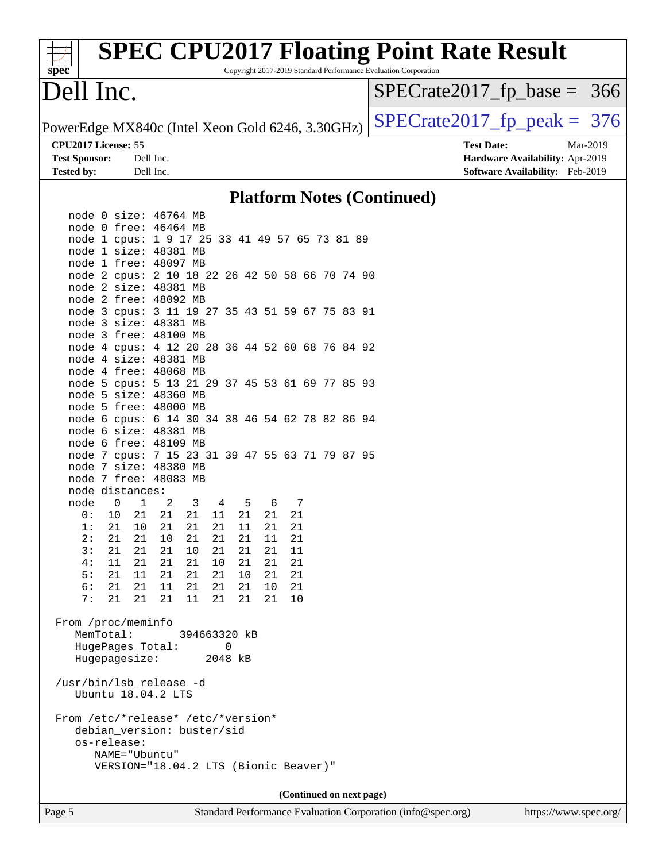| <b>SPEC CPU2017 Floating Point Rate Result</b> |                                                                 |                                        |  |  |  |
|------------------------------------------------|-----------------------------------------------------------------|----------------------------------------|--|--|--|
| spec<br>Dell Inc.                              | Copyright 2017-2019 Standard Performance Evaluation Corporation | $SPECrate2017_fp\_base = 366$          |  |  |  |
|                                                | PowerEdge MX840c (Intel Xeon Gold 6246, 3.30GHz)                | $SPECrate2017fp peak = 376$            |  |  |  |
| CPU2017 License: 55                            |                                                                 | <b>Test Date:</b><br>Mar-2019          |  |  |  |
| <b>Test Sponsor:</b>                           | Dell Inc.                                                       | <b>Hardware Availability: Apr-2019</b> |  |  |  |
| <b>Tested by:</b>                              | Dell Inc.                                                       | Software Availability: Feb-2019        |  |  |  |
|                                                | <b>Platform Notes (Continued)</b>                               |                                        |  |  |  |

| node 0 size: 46764 MB                                                    |    |                                       |    |                         |                |   |             |        |     |  |  |  |
|--------------------------------------------------------------------------|----|---------------------------------------|----|-------------------------|----------------|---|-------------|--------|-----|--|--|--|
| node 0 free: 46464 MB                                                    |    |                                       |    |                         |                |   |             |        |     |  |  |  |
| node 1 cpus: 1 9 17 25 33 41 49 57 65 73 81 89                           |    |                                       |    |                         |                |   |             |        |     |  |  |  |
| node 1 size: 48381 MB                                                    |    |                                       |    |                         |                |   |             |        |     |  |  |  |
| node 1 free: 48097 MB                                                    |    |                                       |    |                         |                |   |             |        |     |  |  |  |
| node 2 cpus: 2 10 18 22 26 42 50 58 66 70 74 90                          |    |                                       |    |                         |                |   |             |        |     |  |  |  |
| node 2 size: 48381 MB                                                    |    |                                       |    |                         |                |   |             |        |     |  |  |  |
| node 2 free: 48092 MB                                                    |    |                                       |    |                         |                |   |             |        |     |  |  |  |
| node 3 cpus: 3 11 19 27 35 43 51 59 67 75 83 91                          |    |                                       |    |                         |                |   |             |        |     |  |  |  |
| node 3 size: 48381 MB                                                    |    |                                       |    |                         |                |   |             |        |     |  |  |  |
| node 3 free: 48100 MB                                                    |    |                                       |    |                         |                |   |             |        |     |  |  |  |
| node 4 cpus: 4 12 20 28 36 44 52 60 68 76 84 92                          |    |                                       |    |                         |                |   |             |        |     |  |  |  |
| node 4 size: 48381 MB                                                    |    |                                       |    |                         |                |   |             |        |     |  |  |  |
| node 4 free: 48068 MB                                                    |    |                                       |    |                         |                |   |             |        |     |  |  |  |
| node 5 cpus: 5 13 21 29 37 45 53 61 69 77 85 93                          |    |                                       |    |                         |                |   |             |        |     |  |  |  |
| node 5 size: 48360 MB                                                    |    |                                       |    |                         |                |   |             |        |     |  |  |  |
| node 5 free: 48000 MB<br>node 6 cpus: 6 14 30 34 38 46 54 62 78 82 86 94 |    |                                       |    |                         |                |   |             |        |     |  |  |  |
| node 6 size: 48381 MB                                                    |    |                                       |    |                         |                |   |             |        |     |  |  |  |
| node 6 free: 48109 MB                                                    |    |                                       |    |                         |                |   |             |        |     |  |  |  |
| node 7 cpus: 7 15 23 31 39 47 55 63 71 79 87 95                          |    |                                       |    |                         |                |   |             |        |     |  |  |  |
| node 7 size: 48380 MB                                                    |    |                                       |    |                         |                |   |             |        |     |  |  |  |
| node 7 free: 48083 MB                                                    |    |                                       |    |                         |                |   |             |        |     |  |  |  |
| node distances:                                                          |    |                                       |    |                         |                |   |             |        |     |  |  |  |
| node                                                                     | 0  | $\overline{1}$                        | 2  | $\overline{\mathbf{3}}$ | $\overline{4}$ |   | $5^{\circ}$ | 6      | - 7 |  |  |  |
| 0:                                                                       | 10 | 21                                    | 21 | 21                      | 11             |   |             | 21  21 | 21  |  |  |  |
| 1:                                                                       |    | 21 10                                 | 21 | 21                      | 21             |   |             | 11 21  | 21  |  |  |  |
| 2:                                                                       | 21 | 21                                    | 10 | 21                      | 21             |   | 21          | 11     | 21  |  |  |  |
| 3:                                                                       |    | 21  21                                | 21 | 10 21                   |                |   |             | 21 21  | 11  |  |  |  |
| 4:                                                                       |    | 11  21                                | 21 | 21                      | 10             |   |             | 21  21 | 21  |  |  |  |
| 5:                                                                       |    | $21$ $11$ $21$                        |    | 21 21                   |                |   |             | 10 21  | 21  |  |  |  |
| 6:                                                                       |    | 21  21                                | 11 | $21\quad 21$            |                |   | 21          | 10     | 21  |  |  |  |
| 7:                                                                       | 21 | 21                                    | 21 | 11 21                   |                |   | 21          | 21     | 10  |  |  |  |
| From /proc/meminfo<br>MemTotal:                                          |    |                                       |    | 394663320 kB            |                |   |             |        |     |  |  |  |
|                                                                          |    | HugePages_Total:                      |    |                         |                | 0 |             |        |     |  |  |  |
|                                                                          |    | Hugepagesize: 2048 kB                 |    |                         |                |   |             |        |     |  |  |  |
| /usr/bin/lsb_release -d                                                  |    | Ubuntu 18.04.2 LTS                    |    |                         |                |   |             |        |     |  |  |  |
|                                                                          |    |                                       |    |                         |                |   |             |        |     |  |  |  |
| From /etc/*release* /etc/*version*                                       |    |                                       |    |                         |                |   |             |        |     |  |  |  |
|                                                                          |    | debian_version: buster/sid            |    |                         |                |   |             |        |     |  |  |  |
|                                                                          |    | os-release:                           |    |                         |                |   |             |        |     |  |  |  |
|                                                                          |    | NAME="Ubuntu"                         |    |                         |                |   |             |        |     |  |  |  |
|                                                                          |    | VERSION="18.04.2 LTS (Bionic Beaver)" |    |                         |                |   |             |        |     |  |  |  |

**(Continued on next page)**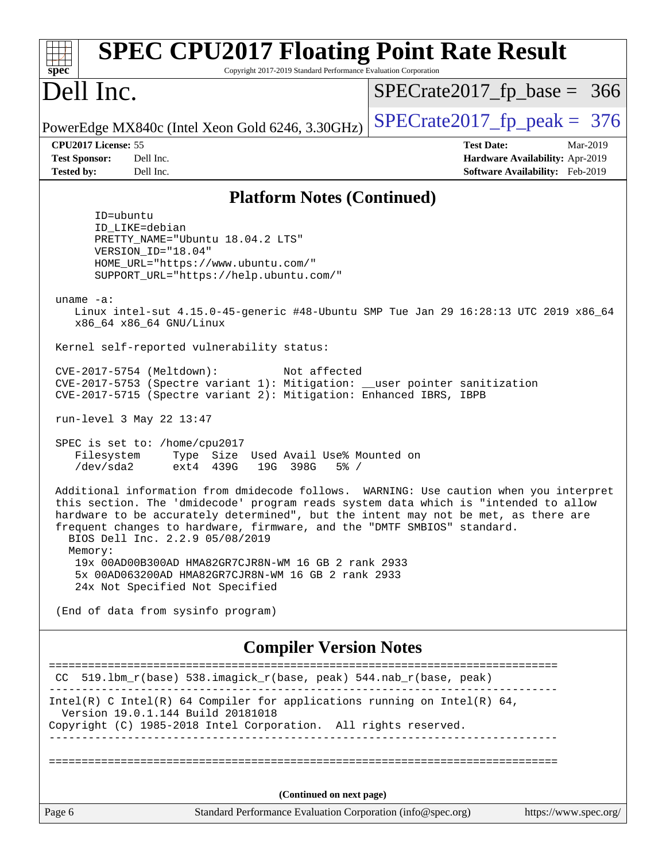| <b>SPEC CPU2017 Floating Point Rate Result</b><br>Copyright 2017-2019 Standard Performance Evaluation Corporation<br>$spec^*$                                                                                                                                                                                                                                                                                                                       |                                                                                                     |
|-----------------------------------------------------------------------------------------------------------------------------------------------------------------------------------------------------------------------------------------------------------------------------------------------------------------------------------------------------------------------------------------------------------------------------------------------------|-----------------------------------------------------------------------------------------------------|
| Dell Inc.                                                                                                                                                                                                                                                                                                                                                                                                                                           | $SPECrate2017_fp\_base = 366$                                                                       |
| PowerEdge MX840c (Intel Xeon Gold 6246, 3.30GHz)                                                                                                                                                                                                                                                                                                                                                                                                    | $SPECTate2017$ _fp_peak = 376                                                                       |
| CPU2017 License: 55<br><b>Test Sponsor:</b><br>Dell Inc.<br><b>Tested by:</b><br>Dell Inc.                                                                                                                                                                                                                                                                                                                                                          | <b>Test Date:</b><br>Mar-2019<br>Hardware Availability: Apr-2019<br>Software Availability: Feb-2019 |
| <b>Platform Notes (Continued)</b>                                                                                                                                                                                                                                                                                                                                                                                                                   |                                                                                                     |
| ID=ubuntu<br>ID_LIKE=debian<br>PRETTY_NAME="Ubuntu 18.04.2 LTS"<br>VERSION_ID="18.04"<br>HOME_URL="https://www.ubuntu.com/"<br>SUPPORT_URL="https://help.ubuntu.com/"<br>uname $-a$ :<br>Linux intel-sut 4.15.0-45-generic #48-Ubuntu SMP Tue Jan 29 16:28:13 UTC 2019 x86_64<br>x86_64 x86_64 GNU/Linux                                                                                                                                            |                                                                                                     |
| Kernel self-reported vulnerability status:                                                                                                                                                                                                                                                                                                                                                                                                          |                                                                                                     |
| CVE-2017-5754 (Meltdown):<br>Not affected<br>CVE-2017-5753 (Spectre variant 1): Mitigation: __user pointer sanitization<br>CVE-2017-5715 (Spectre variant 2): Mitigation: Enhanced IBRS, IBPB                                                                                                                                                                                                                                                       |                                                                                                     |
| run-level 3 May 22 13:47                                                                                                                                                                                                                                                                                                                                                                                                                            |                                                                                                     |
| SPEC is set to: /home/cpu2017<br>Filesystem<br>Type Size Used Avail Use% Mounted on<br>/dev/sda2<br>ext4 439G<br>19G 398G<br>$5\%$ /                                                                                                                                                                                                                                                                                                                |                                                                                                     |
| Additional information from dmidecode follows. WARNING: Use caution when you interpret<br>this section. The 'dmidecode' program reads system data which is "intended to allow<br>hardware to be accurately determined", but the intent may not be met, as there are<br>frequent changes to hardware, firmware, and the "DMTF SMBIOS" standard.<br>BIOS Dell Inc. 2.2.9 05/08/2019<br>Memory:<br>19x 00AD00B300AD HMA82GR7CJR8N-WM 16 GB 2 rank 2933 |                                                                                                     |
| 5x 00AD063200AD HMA82GR7CJR8N-WM 16 GB 2 rank 2933<br>24x Not Specified Not Specified                                                                                                                                                                                                                                                                                                                                                               |                                                                                                     |
| (End of data from sysinfo program)                                                                                                                                                                                                                                                                                                                                                                                                                  |                                                                                                     |
| <b>Compiler Version Notes</b>                                                                                                                                                                                                                                                                                                                                                                                                                       |                                                                                                     |
| CC 519.1bm_r(base) 538.imagick_r(base, peak) 544.nab_r(base, peak)                                                                                                                                                                                                                                                                                                                                                                                  | ==============================                                                                      |
| Intel(R) C Intel(R) 64 Compiler for applications running on Intel(R) 64,<br>Version 19.0.1.144 Build 20181018<br>Copyright (C) 1985-2018 Intel Corporation. All rights reserved.                                                                                                                                                                                                                                                                    |                                                                                                     |
|                                                                                                                                                                                                                                                                                                                                                                                                                                                     |                                                                                                     |
| (Continued on next page)                                                                                                                                                                                                                                                                                                                                                                                                                            |                                                                                                     |
| Standard Performance Evaluation Corporation (info@spec.org)<br>Page 6                                                                                                                                                                                                                                                                                                                                                                               | https://www.spec.org/                                                                               |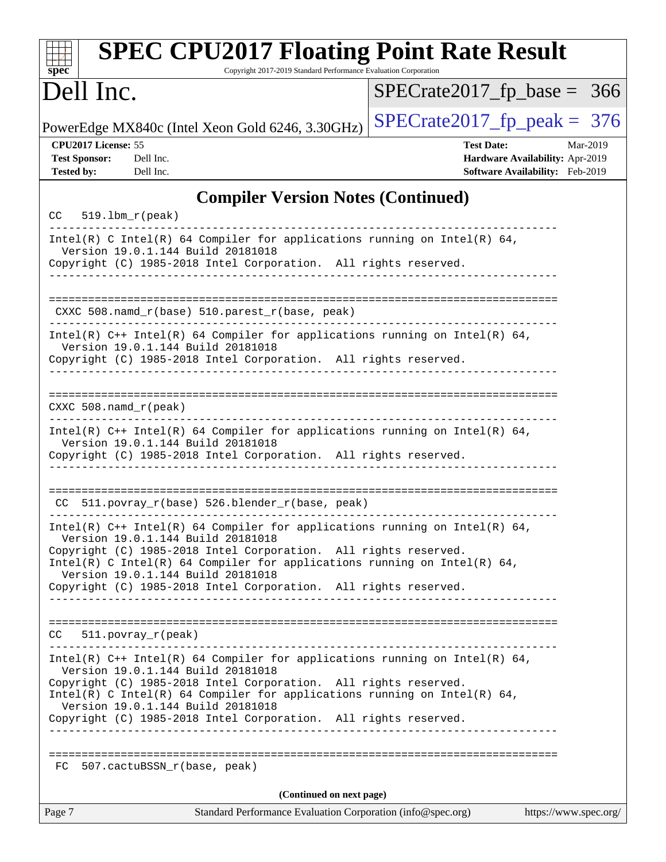| <b>SPEC CPU2017 Floating Point Rate Result</b><br>Copyright 2017-2019 Standard Performance Evaluation Corporation<br>$spec^*$                                                                                                                                                                                                                                            |                                                                                                     |
|--------------------------------------------------------------------------------------------------------------------------------------------------------------------------------------------------------------------------------------------------------------------------------------------------------------------------------------------------------------------------|-----------------------------------------------------------------------------------------------------|
| Dell Inc.                                                                                                                                                                                                                                                                                                                                                                | $SPECrate2017_fp\_base = 366$                                                                       |
| PowerEdge MX840c (Intel Xeon Gold 6246, 3.30GHz)                                                                                                                                                                                                                                                                                                                         | $SPECTate2017$ _fp_peak = 376                                                                       |
| CPU2017 License: 55<br><b>Test Sponsor:</b><br>Dell Inc.<br><b>Tested by:</b><br>Dell Inc.                                                                                                                                                                                                                                                                               | <b>Test Date:</b><br>Mar-2019<br>Hardware Availability: Apr-2019<br>Software Availability: Feb-2019 |
| <b>Compiler Version Notes (Continued)</b>                                                                                                                                                                                                                                                                                                                                |                                                                                                     |
| $CC = 519.1bm_r (peak)$                                                                                                                                                                                                                                                                                                                                                  |                                                                                                     |
| Intel(R) C Intel(R) 64 Compiler for applications running on Intel(R) 64,<br>Version 19.0.1.144 Build 20181018<br>Copyright (C) 1985-2018 Intel Corporation. All rights reserved.                                                                                                                                                                                         |                                                                                                     |
| CXXC 508.namd_r(base) 510.parest_r(base, peak)                                                                                                                                                                                                                                                                                                                           |                                                                                                     |
| Intel(R) $C++$ Intel(R) 64 Compiler for applications running on Intel(R) 64,<br>Version 19.0.1.144 Build 20181018<br>Copyright (C) 1985-2018 Intel Corporation. All rights reserved.                                                                                                                                                                                     |                                                                                                     |
| $CXXC 508.namd_r (peak)$                                                                                                                                                                                                                                                                                                                                                 |                                                                                                     |
| Intel(R) $C++$ Intel(R) 64 Compiler for applications running on Intel(R) 64,<br>Version 19.0.1.144 Build 20181018<br>Copyright (C) 1985-2018 Intel Corporation. All rights reserved.                                                                                                                                                                                     |                                                                                                     |
| CC 511.povray_r(base) 526.blender_r(base, peak)                                                                                                                                                                                                                                                                                                                          |                                                                                                     |
| Intel(R) C++ Intel(R) 64 Compiler for applications running on Intel(R) 64,<br>Version 19.0.1.144 Build 20181018<br>Copyright (C) 1985-2018 Intel Corporation. All rights reserved.<br>Intel(R) C Intel(R) 64 Compiler for applications running on Intel(R) 64,<br>Version 19.0.1.144 Build 20181018<br>Copyright (C) 1985-2018 Intel Corporation. All rights reserved.   |                                                                                                     |
| CC<br>$511. povray_r (peak)$                                                                                                                                                                                                                                                                                                                                             | _____________________________________                                                               |
| Intel(R) $C++$ Intel(R) 64 Compiler for applications running on Intel(R) 64,<br>Version 19.0.1.144 Build 20181018<br>Copyright (C) 1985-2018 Intel Corporation. All rights reserved.<br>Intel(R) C Intel(R) 64 Compiler for applications running on Intel(R) 64,<br>Version 19.0.1.144 Build 20181018<br>Copyright (C) 1985-2018 Intel Corporation. All rights reserved. |                                                                                                     |
| 507.cactuBSSN_r(base, peak)<br>FC                                                                                                                                                                                                                                                                                                                                        |                                                                                                     |
| (Continued on next page)                                                                                                                                                                                                                                                                                                                                                 |                                                                                                     |
| Page 7<br>Standard Performance Evaluation Corporation (info@spec.org)                                                                                                                                                                                                                                                                                                    | https://www.spec.org/                                                                               |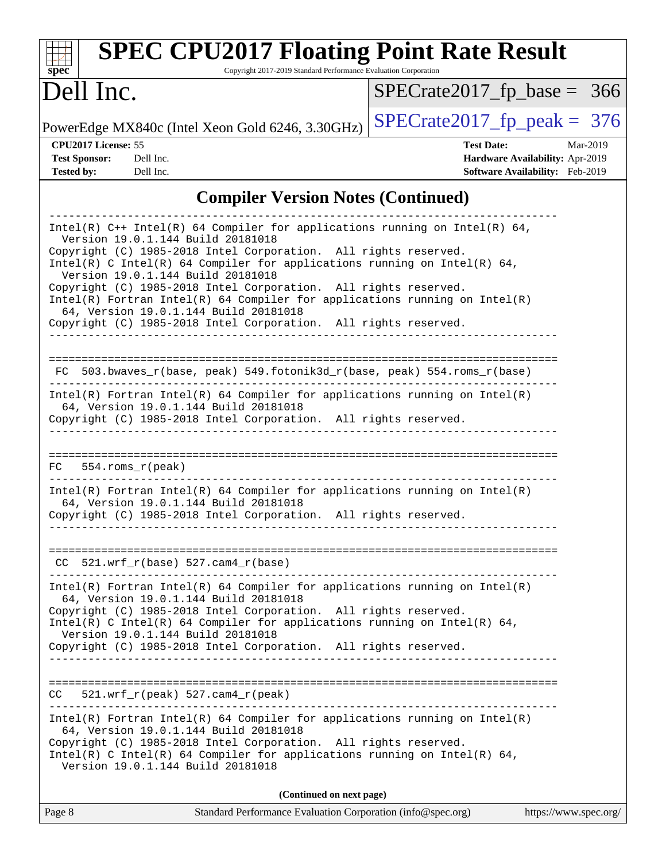| <b>SPEC CPU2017 Floating Point Rate Result</b><br>Copyright 2017-2019 Standard Performance Evaluation Corporation<br>spec                                                                                                                                                                                                                                                                                                                                                                                                                                            |                                                                                                     |
|----------------------------------------------------------------------------------------------------------------------------------------------------------------------------------------------------------------------------------------------------------------------------------------------------------------------------------------------------------------------------------------------------------------------------------------------------------------------------------------------------------------------------------------------------------------------|-----------------------------------------------------------------------------------------------------|
| Dell Inc.                                                                                                                                                                                                                                                                                                                                                                                                                                                                                                                                                            | $SPECrate2017_fp\_base = 366$                                                                       |
| PowerEdge MX840c (Intel Xeon Gold 6246, 3.30GHz)                                                                                                                                                                                                                                                                                                                                                                                                                                                                                                                     | $SPECrate2017_fp\_peak = 376$                                                                       |
| CPU2017 License: 55<br><b>Test Sponsor:</b><br>Dell Inc.<br><b>Tested by:</b><br>Dell Inc.                                                                                                                                                                                                                                                                                                                                                                                                                                                                           | <b>Test Date:</b><br>Mar-2019<br>Hardware Availability: Apr-2019<br>Software Availability: Feb-2019 |
| <b>Compiler Version Notes (Continued)</b>                                                                                                                                                                                                                                                                                                                                                                                                                                                                                                                            |                                                                                                     |
| Intel(R) $C++$ Intel(R) 64 Compiler for applications running on Intel(R) 64,<br>Version 19.0.1.144 Build 20181018<br>Copyright (C) 1985-2018 Intel Corporation. All rights reserved.<br>Intel(R) C Intel(R) 64 Compiler for applications running on Intel(R) 64,<br>Version 19.0.1.144 Build 20181018<br>Copyright (C) 1985-2018 Intel Corporation. All rights reserved.<br>$Intel(R)$ Fortran Intel(R) 64 Compiler for applications running on Intel(R)<br>64, Version 19.0.1.144 Build 20181018<br>Copyright (C) 1985-2018 Intel Corporation. All rights reserved. |                                                                                                     |
| 503.bwaves_r(base, peak) 549.fotonik3d_r(base, peak) 554.roms_r(base)<br>FC<br>Intel(R) Fortran Intel(R) 64 Compiler for applications running on Intel(R)<br>64, Version 19.0.1.144 Build 20181018<br>Copyright (C) 1985-2018 Intel Corporation. All rights reserved.                                                                                                                                                                                                                                                                                                |                                                                                                     |
| $554.rows_r (peak)$<br>FC.<br>Intel(R) Fortran Intel(R) 64 Compiler for applications running on $Intel(R)$<br>64, Version 19.0.1.144 Build 20181018<br>Copyright (C) 1985-2018 Intel Corporation. All rights reserved.                                                                                                                                                                                                                                                                                                                                               |                                                                                                     |
| $CC$ 521.wrf_r(base) 527.cam4_r(base)<br>Intel(R) Fortran Intel(R) 64 Compiler for applications running on Intel(R)                                                                                                                                                                                                                                                                                                                                                                                                                                                  |                                                                                                     |
| 64, Version 19.0.1.144 Build 20181018<br>Copyright (C) 1985-2018 Intel Corporation. All rights reserved.<br>Intel(R) C Intel(R) 64 Compiler for applications running on Intel(R) 64,<br>Version 19.0.1.144 Build 20181018<br>Copyright (C) 1985-2018 Intel Corporation. All rights reserved.<br>_____________________________________                                                                                                                                                                                                                                |                                                                                                     |
| $CC = 521.wrf_r(peak) 527.cam4_r(peak)$                                                                                                                                                                                                                                                                                                                                                                                                                                                                                                                              |                                                                                                     |
| $Intel(R)$ Fortran Intel(R) 64 Compiler for applications running on Intel(R)<br>64, Version 19.0.1.144 Build 20181018<br>Copyright (C) 1985-2018 Intel Corporation. All rights reserved.<br>Intel(R) C Intel(R) 64 Compiler for applications running on Intel(R) 64,<br>Version 19.0.1.144 Build 20181018                                                                                                                                                                                                                                                            |                                                                                                     |
| (Continued on next page)                                                                                                                                                                                                                                                                                                                                                                                                                                                                                                                                             |                                                                                                     |

| Page 8 | Standard Performance Evaluation Corporation (info@spec.org) | https://www.spec.org/ |
|--------|-------------------------------------------------------------|-----------------------|
|        |                                                             |                       |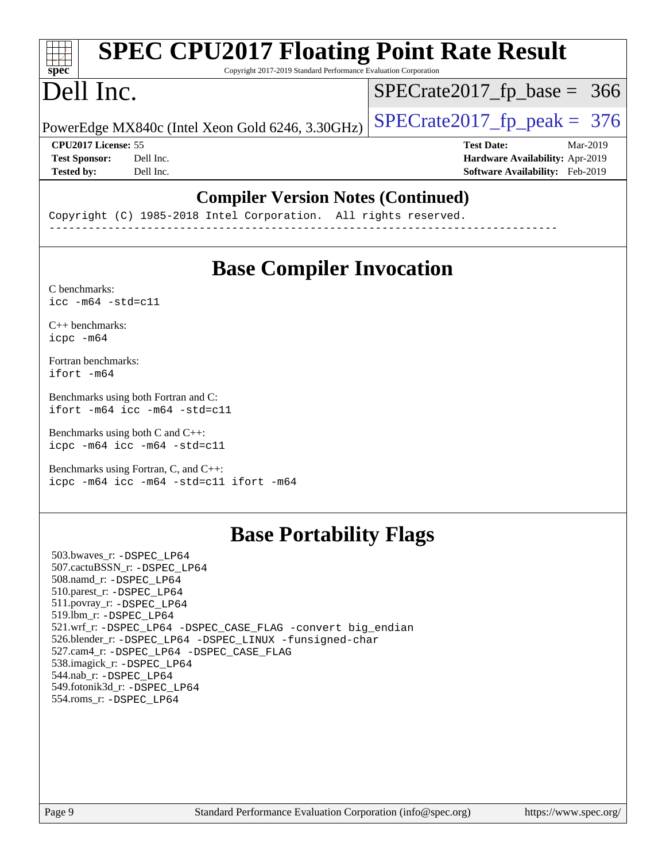#### **[SPEC CPU2017 Floating Point Rate Result](http://www.spec.org/auto/cpu2017/Docs/result-fields.html#SPECCPU2017FloatingPointRateResult)**  $+\ +$ **[spec](http://www.spec.org/)** Copyright 2017-2019 Standard Performance Evaluation Corporation Dell Inc. [SPECrate2017\\_fp\\_base =](http://www.spec.org/auto/cpu2017/Docs/result-fields.html#SPECrate2017fpbase) 366 PowerEdge MX840c (Intel Xeon Gold 6246, 3.30GHz)  $\left|$  [SPECrate2017\\_fp\\_peak =](http://www.spec.org/auto/cpu2017/Docs/result-fields.html#SPECrate2017fppeak) 376 **[CPU2017 License:](http://www.spec.org/auto/cpu2017/Docs/result-fields.html#CPU2017License)** 55 **[Test Date:](http://www.spec.org/auto/cpu2017/Docs/result-fields.html#TestDate)** Mar-2019 **[Test Sponsor:](http://www.spec.org/auto/cpu2017/Docs/result-fields.html#TestSponsor)** Dell Inc. **[Hardware Availability:](http://www.spec.org/auto/cpu2017/Docs/result-fields.html#HardwareAvailability)** Apr-2019 **[Tested by:](http://www.spec.org/auto/cpu2017/Docs/result-fields.html#Testedby)** Dell Inc. **[Software Availability:](http://www.spec.org/auto/cpu2017/Docs/result-fields.html#SoftwareAvailability)** Feb-2019

### **[Compiler Version Notes \(Continued\)](http://www.spec.org/auto/cpu2017/Docs/result-fields.html#CompilerVersionNotes)**

Copyright (C) 1985-2018 Intel Corporation. All rights reserved. ------------------------------------------------------------------------------

### **[Base Compiler Invocation](http://www.spec.org/auto/cpu2017/Docs/result-fields.html#BaseCompilerInvocation)**

[C benchmarks](http://www.spec.org/auto/cpu2017/Docs/result-fields.html#Cbenchmarks):  $\text{icc}$  -m64 -std=c11

[C++ benchmarks:](http://www.spec.org/auto/cpu2017/Docs/result-fields.html#CXXbenchmarks) [icpc -m64](http://www.spec.org/cpu2017/results/res2019q3/cpu2017-20190624-15388.flags.html#user_CXXbase_intel_icpc_64bit_4ecb2543ae3f1412ef961e0650ca070fec7b7afdcd6ed48761b84423119d1bf6bdf5cad15b44d48e7256388bc77273b966e5eb805aefd121eb22e9299b2ec9d9)

[Fortran benchmarks](http://www.spec.org/auto/cpu2017/Docs/result-fields.html#Fortranbenchmarks): [ifort -m64](http://www.spec.org/cpu2017/results/res2019q3/cpu2017-20190624-15388.flags.html#user_FCbase_intel_ifort_64bit_24f2bb282fbaeffd6157abe4f878425411749daecae9a33200eee2bee2fe76f3b89351d69a8130dd5949958ce389cf37ff59a95e7a40d588e8d3a57e0c3fd751)

[Benchmarks using both Fortran and C](http://www.spec.org/auto/cpu2017/Docs/result-fields.html#BenchmarksusingbothFortranandC): [ifort -m64](http://www.spec.org/cpu2017/results/res2019q3/cpu2017-20190624-15388.flags.html#user_CC_FCbase_intel_ifort_64bit_24f2bb282fbaeffd6157abe4f878425411749daecae9a33200eee2bee2fe76f3b89351d69a8130dd5949958ce389cf37ff59a95e7a40d588e8d3a57e0c3fd751) [icc -m64 -std=c11](http://www.spec.org/cpu2017/results/res2019q3/cpu2017-20190624-15388.flags.html#user_CC_FCbase_intel_icc_64bit_c11_33ee0cdaae7deeeab2a9725423ba97205ce30f63b9926c2519791662299b76a0318f32ddfffdc46587804de3178b4f9328c46fa7c2b0cd779d7a61945c91cd35)

[Benchmarks using both C and C++](http://www.spec.org/auto/cpu2017/Docs/result-fields.html#BenchmarksusingbothCandCXX): [icpc -m64](http://www.spec.org/cpu2017/results/res2019q3/cpu2017-20190624-15388.flags.html#user_CC_CXXbase_intel_icpc_64bit_4ecb2543ae3f1412ef961e0650ca070fec7b7afdcd6ed48761b84423119d1bf6bdf5cad15b44d48e7256388bc77273b966e5eb805aefd121eb22e9299b2ec9d9) [icc -m64 -std=c11](http://www.spec.org/cpu2017/results/res2019q3/cpu2017-20190624-15388.flags.html#user_CC_CXXbase_intel_icc_64bit_c11_33ee0cdaae7deeeab2a9725423ba97205ce30f63b9926c2519791662299b76a0318f32ddfffdc46587804de3178b4f9328c46fa7c2b0cd779d7a61945c91cd35)

[Benchmarks using Fortran, C, and C++:](http://www.spec.org/auto/cpu2017/Docs/result-fields.html#BenchmarksusingFortranCandCXX) [icpc -m64](http://www.spec.org/cpu2017/results/res2019q3/cpu2017-20190624-15388.flags.html#user_CC_CXX_FCbase_intel_icpc_64bit_4ecb2543ae3f1412ef961e0650ca070fec7b7afdcd6ed48761b84423119d1bf6bdf5cad15b44d48e7256388bc77273b966e5eb805aefd121eb22e9299b2ec9d9) [icc -m64 -std=c11](http://www.spec.org/cpu2017/results/res2019q3/cpu2017-20190624-15388.flags.html#user_CC_CXX_FCbase_intel_icc_64bit_c11_33ee0cdaae7deeeab2a9725423ba97205ce30f63b9926c2519791662299b76a0318f32ddfffdc46587804de3178b4f9328c46fa7c2b0cd779d7a61945c91cd35) [ifort -m64](http://www.spec.org/cpu2017/results/res2019q3/cpu2017-20190624-15388.flags.html#user_CC_CXX_FCbase_intel_ifort_64bit_24f2bb282fbaeffd6157abe4f878425411749daecae9a33200eee2bee2fe76f3b89351d69a8130dd5949958ce389cf37ff59a95e7a40d588e8d3a57e0c3fd751)

### **[Base Portability Flags](http://www.spec.org/auto/cpu2017/Docs/result-fields.html#BasePortabilityFlags)**

 503.bwaves\_r: [-DSPEC\\_LP64](http://www.spec.org/cpu2017/results/res2019q3/cpu2017-20190624-15388.flags.html#suite_basePORTABILITY503_bwaves_r_DSPEC_LP64) 507.cactuBSSN\_r: [-DSPEC\\_LP64](http://www.spec.org/cpu2017/results/res2019q3/cpu2017-20190624-15388.flags.html#suite_basePORTABILITY507_cactuBSSN_r_DSPEC_LP64) 508.namd\_r: [-DSPEC\\_LP64](http://www.spec.org/cpu2017/results/res2019q3/cpu2017-20190624-15388.flags.html#suite_basePORTABILITY508_namd_r_DSPEC_LP64) 510.parest\_r: [-DSPEC\\_LP64](http://www.spec.org/cpu2017/results/res2019q3/cpu2017-20190624-15388.flags.html#suite_basePORTABILITY510_parest_r_DSPEC_LP64) 511.povray\_r: [-DSPEC\\_LP64](http://www.spec.org/cpu2017/results/res2019q3/cpu2017-20190624-15388.flags.html#suite_basePORTABILITY511_povray_r_DSPEC_LP64) 519.lbm\_r: [-DSPEC\\_LP64](http://www.spec.org/cpu2017/results/res2019q3/cpu2017-20190624-15388.flags.html#suite_basePORTABILITY519_lbm_r_DSPEC_LP64) 521.wrf\_r: [-DSPEC\\_LP64](http://www.spec.org/cpu2017/results/res2019q3/cpu2017-20190624-15388.flags.html#suite_basePORTABILITY521_wrf_r_DSPEC_LP64) [-DSPEC\\_CASE\\_FLAG](http://www.spec.org/cpu2017/results/res2019q3/cpu2017-20190624-15388.flags.html#b521.wrf_r_baseCPORTABILITY_DSPEC_CASE_FLAG) [-convert big\\_endian](http://www.spec.org/cpu2017/results/res2019q3/cpu2017-20190624-15388.flags.html#user_baseFPORTABILITY521_wrf_r_convert_big_endian_c3194028bc08c63ac5d04de18c48ce6d347e4e562e8892b8bdbdc0214820426deb8554edfa529a3fb25a586e65a3d812c835984020483e7e73212c4d31a38223) 526.blender\_r: [-DSPEC\\_LP64](http://www.spec.org/cpu2017/results/res2019q3/cpu2017-20190624-15388.flags.html#suite_basePORTABILITY526_blender_r_DSPEC_LP64) [-DSPEC\\_LINUX](http://www.spec.org/cpu2017/results/res2019q3/cpu2017-20190624-15388.flags.html#b526.blender_r_baseCPORTABILITY_DSPEC_LINUX) [-funsigned-char](http://www.spec.org/cpu2017/results/res2019q3/cpu2017-20190624-15388.flags.html#user_baseCPORTABILITY526_blender_r_force_uchar_40c60f00ab013830e2dd6774aeded3ff59883ba5a1fc5fc14077f794d777847726e2a5858cbc7672e36e1b067e7e5c1d9a74f7176df07886a243d7cc18edfe67) 527.cam4\_r: [-DSPEC\\_LP64](http://www.spec.org/cpu2017/results/res2019q3/cpu2017-20190624-15388.flags.html#suite_basePORTABILITY527_cam4_r_DSPEC_LP64) [-DSPEC\\_CASE\\_FLAG](http://www.spec.org/cpu2017/results/res2019q3/cpu2017-20190624-15388.flags.html#b527.cam4_r_baseCPORTABILITY_DSPEC_CASE_FLAG) 538.imagick\_r: [-DSPEC\\_LP64](http://www.spec.org/cpu2017/results/res2019q3/cpu2017-20190624-15388.flags.html#suite_basePORTABILITY538_imagick_r_DSPEC_LP64) 544.nab\_r: [-DSPEC\\_LP64](http://www.spec.org/cpu2017/results/res2019q3/cpu2017-20190624-15388.flags.html#suite_basePORTABILITY544_nab_r_DSPEC_LP64) 549.fotonik3d\_r: [-DSPEC\\_LP64](http://www.spec.org/cpu2017/results/res2019q3/cpu2017-20190624-15388.flags.html#suite_basePORTABILITY549_fotonik3d_r_DSPEC_LP64) 554.roms\_r: [-DSPEC\\_LP64](http://www.spec.org/cpu2017/results/res2019q3/cpu2017-20190624-15388.flags.html#suite_basePORTABILITY554_roms_r_DSPEC_LP64)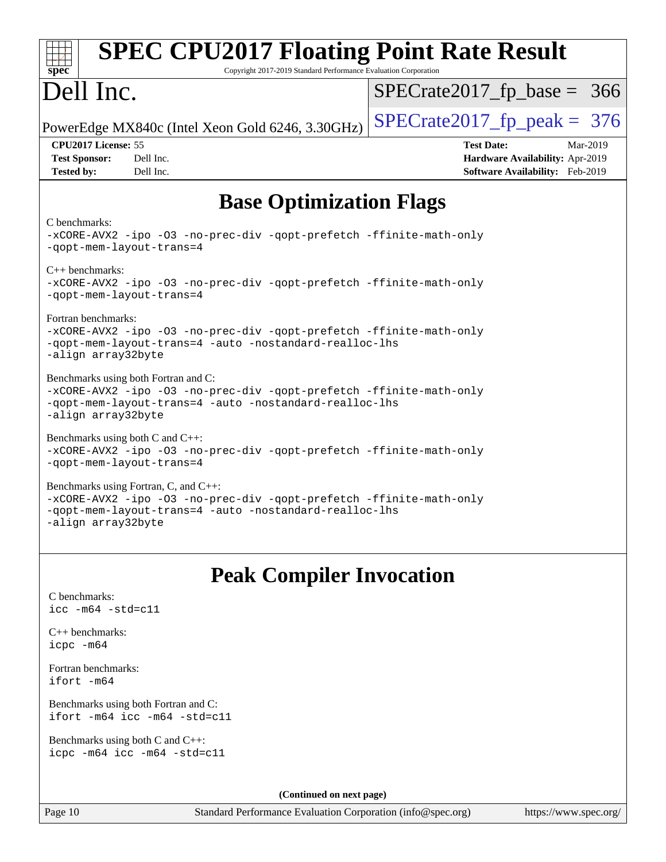| <b>SPEC CPU2017 Floating Point Rate Result</b><br>Copyright 2017-2019 Standard Performance Evaluation Corporation<br>$spec^*$                                                                |                                                                                                     |  |  |  |  |  |
|----------------------------------------------------------------------------------------------------------------------------------------------------------------------------------------------|-----------------------------------------------------------------------------------------------------|--|--|--|--|--|
| Dell Inc.                                                                                                                                                                                    | $SPECrate2017_fp\_base = 366$                                                                       |  |  |  |  |  |
| PowerEdge MX840c (Intel Xeon Gold 6246, 3.30GHz)                                                                                                                                             | $SPECTate2017$ _fp_peak = 376                                                                       |  |  |  |  |  |
| CPU2017 License: 55<br><b>Test Sponsor:</b><br>Dell Inc.<br>Dell Inc.<br><b>Tested by:</b>                                                                                                   | <b>Test Date:</b><br>Mar-2019<br>Hardware Availability: Apr-2019<br>Software Availability: Feb-2019 |  |  |  |  |  |
| <b>Base Optimization Flags</b>                                                                                                                                                               |                                                                                                     |  |  |  |  |  |
| C benchmarks:<br>-xCORE-AVX2 -ipo -03 -no-prec-div -qopt-prefetch -ffinite-math-only<br>-qopt-mem-layout-trans=4                                                                             |                                                                                                     |  |  |  |  |  |
| $C_{++}$ benchmarks:<br>-qopt-mem-layout-trans=4                                                                                                                                             | -xCORE-AVX2 -ipo -03 -no-prec-div -qopt-prefetch -ffinite-math-only                                 |  |  |  |  |  |
| Fortran benchmarks:<br>-xCORE-AVX2 -ipo -03 -no-prec-div -qopt-prefetch -ffinite-math-only<br>-qopt-mem-layout-trans=4 -auto -nostandard-realloc-lhs<br>-align array32byte                   |                                                                                                     |  |  |  |  |  |
| Benchmarks using both Fortran and C:<br>-xCORE-AVX2 -ipo -03 -no-prec-div -qopt-prefetch -ffinite-math-only<br>-qopt-mem-layout-trans=4 -auto -nostandard-realloc-lhs<br>-align array32byte  |                                                                                                     |  |  |  |  |  |
| Benchmarks using both C and C++:<br>-xCORE-AVX2 -ipo -03 -no-prec-div -qopt-prefetch -ffinite-math-only<br>-gopt-mem-layout-trans=4                                                          |                                                                                                     |  |  |  |  |  |
| Benchmarks using Fortran, C, and C++:<br>-xCORE-AVX2 -ipo -03 -no-prec-div -qopt-prefetch -ffinite-math-only<br>-qopt-mem-layout-trans=4 -auto -nostandard-realloc-lhs<br>-align array32byte |                                                                                                     |  |  |  |  |  |
| <b>Peak Compiler Invocation</b>                                                                                                                                                              |                                                                                                     |  |  |  |  |  |
| C benchmarks:<br>$\text{icc}$ -m64 -std=c11                                                                                                                                                  |                                                                                                     |  |  |  |  |  |
| $C_{++}$ benchmarks:<br>icpc -m64                                                                                                                                                            |                                                                                                     |  |  |  |  |  |
| Fortran benchmarks:<br>ifort -m64                                                                                                                                                            |                                                                                                     |  |  |  |  |  |
| Benchmarks using both Fortran and C:<br>ifort -m64 icc -m64 -std=c11                                                                                                                         |                                                                                                     |  |  |  |  |  |
| Benchmarks using both C and C++:<br>icpc -m64 icc -m64 -std=c11                                                                                                                              |                                                                                                     |  |  |  |  |  |
|                                                                                                                                                                                              |                                                                                                     |  |  |  |  |  |

**(Continued on next page)**

Page 10 Standard Performance Evaluation Corporation [\(info@spec.org\)](mailto:info@spec.org) <https://www.spec.org/>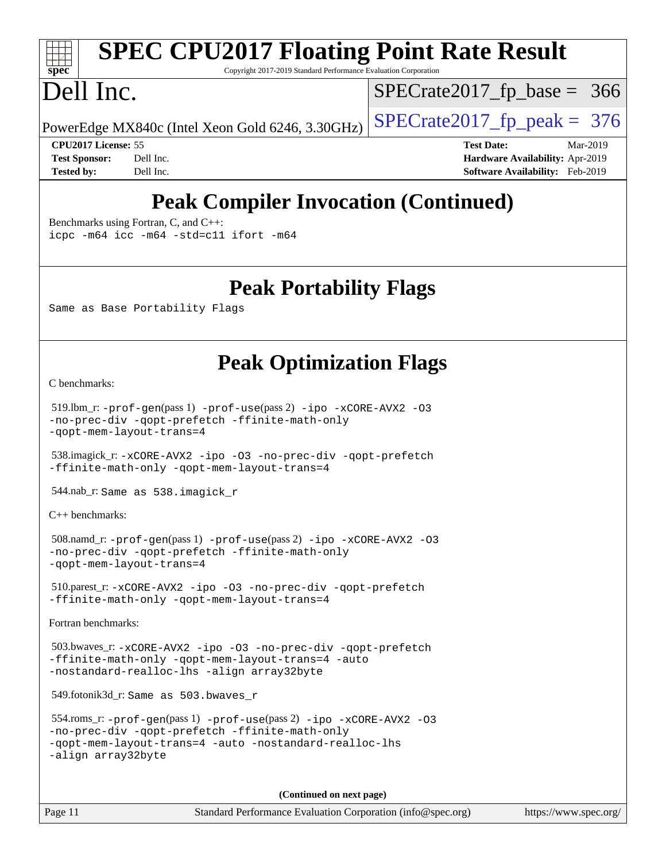# **[spec](http://www.spec.org/)**

# **[SPEC CPU2017 Floating Point Rate Result](http://www.spec.org/auto/cpu2017/Docs/result-fields.html#SPECCPU2017FloatingPointRateResult)**

Copyright 2017-2019 Standard Performance Evaluation Corporation

# Dell Inc.

[SPECrate2017\\_fp\\_base =](http://www.spec.org/auto/cpu2017/Docs/result-fields.html#SPECrate2017fpbase) 366

PowerEdge MX840c (Intel Xeon Gold 6246, 3.30GHz)  $\left|$  [SPECrate2017\\_fp\\_peak =](http://www.spec.org/auto/cpu2017/Docs/result-fields.html#SPECrate2017fppeak) 376

**[CPU2017 License:](http://www.spec.org/auto/cpu2017/Docs/result-fields.html#CPU2017License)** 55 **[Test Date:](http://www.spec.org/auto/cpu2017/Docs/result-fields.html#TestDate)** Mar-2019 **[Test Sponsor:](http://www.spec.org/auto/cpu2017/Docs/result-fields.html#TestSponsor)** Dell Inc. **[Hardware Availability:](http://www.spec.org/auto/cpu2017/Docs/result-fields.html#HardwareAvailability)** Apr-2019 **[Tested by:](http://www.spec.org/auto/cpu2017/Docs/result-fields.html#Testedby)** Dell Inc. **[Software Availability:](http://www.spec.org/auto/cpu2017/Docs/result-fields.html#SoftwareAvailability)** Feb-2019

# **[Peak Compiler Invocation \(Continued\)](http://www.spec.org/auto/cpu2017/Docs/result-fields.html#PeakCompilerInvocation)**

[Benchmarks using Fortran, C, and C++:](http://www.spec.org/auto/cpu2017/Docs/result-fields.html#BenchmarksusingFortranCandCXX)

[icpc -m64](http://www.spec.org/cpu2017/results/res2019q3/cpu2017-20190624-15388.flags.html#user_CC_CXX_FCpeak_intel_icpc_64bit_4ecb2543ae3f1412ef961e0650ca070fec7b7afdcd6ed48761b84423119d1bf6bdf5cad15b44d48e7256388bc77273b966e5eb805aefd121eb22e9299b2ec9d9) [icc -m64 -std=c11](http://www.spec.org/cpu2017/results/res2019q3/cpu2017-20190624-15388.flags.html#user_CC_CXX_FCpeak_intel_icc_64bit_c11_33ee0cdaae7deeeab2a9725423ba97205ce30f63b9926c2519791662299b76a0318f32ddfffdc46587804de3178b4f9328c46fa7c2b0cd779d7a61945c91cd35) [ifort -m64](http://www.spec.org/cpu2017/results/res2019q3/cpu2017-20190624-15388.flags.html#user_CC_CXX_FCpeak_intel_ifort_64bit_24f2bb282fbaeffd6157abe4f878425411749daecae9a33200eee2bee2fe76f3b89351d69a8130dd5949958ce389cf37ff59a95e7a40d588e8d3a57e0c3fd751)

### **[Peak Portability Flags](http://www.spec.org/auto/cpu2017/Docs/result-fields.html#PeakPortabilityFlags)**

Same as Base Portability Flags

## **[Peak Optimization Flags](http://www.spec.org/auto/cpu2017/Docs/result-fields.html#PeakOptimizationFlags)**

[C benchmarks](http://www.spec.org/auto/cpu2017/Docs/result-fields.html#Cbenchmarks):

```
 519.lbm_r: -prof-gen(pass 1) -prof-use(pass 2) -ipo -xCORE-AVX2 -O3
-no-prec-div -qopt-prefetch -ffinite-math-only
-qopt-mem-layout-trans=4
```
 538.imagick\_r: [-xCORE-AVX2](http://www.spec.org/cpu2017/results/res2019q3/cpu2017-20190624-15388.flags.html#user_peakCOPTIMIZE538_imagick_r_f-xCORE-AVX2) [-ipo](http://www.spec.org/cpu2017/results/res2019q3/cpu2017-20190624-15388.flags.html#user_peakCOPTIMIZE538_imagick_r_f-ipo) [-O3](http://www.spec.org/cpu2017/results/res2019q3/cpu2017-20190624-15388.flags.html#user_peakCOPTIMIZE538_imagick_r_f-O3) [-no-prec-div](http://www.spec.org/cpu2017/results/res2019q3/cpu2017-20190624-15388.flags.html#user_peakCOPTIMIZE538_imagick_r_f-no-prec-div) [-qopt-prefetch](http://www.spec.org/cpu2017/results/res2019q3/cpu2017-20190624-15388.flags.html#user_peakCOPTIMIZE538_imagick_r_f-qopt-prefetch) [-ffinite-math-only](http://www.spec.org/cpu2017/results/res2019q3/cpu2017-20190624-15388.flags.html#user_peakCOPTIMIZE538_imagick_r_f_finite_math_only_cb91587bd2077682c4b38af759c288ed7c732db004271a9512da14a4f8007909a5f1427ecbf1a0fb78ff2a814402c6114ac565ca162485bbcae155b5e4258871) [-qopt-mem-layout-trans=4](http://www.spec.org/cpu2017/results/res2019q3/cpu2017-20190624-15388.flags.html#user_peakCOPTIMIZE538_imagick_r_f-qopt-mem-layout-trans_fa39e755916c150a61361b7846f310bcdf6f04e385ef281cadf3647acec3f0ae266d1a1d22d972a7087a248fd4e6ca390a3634700869573d231a252c784941a8)

544.nab\_r: Same as 538.imagick\_r

[C++ benchmarks:](http://www.spec.org/auto/cpu2017/Docs/result-fields.html#CXXbenchmarks)

```
 508.namd_r: -prof-gen(pass 1) -prof-use(pass 2) -ipo -xCORE-AVX2 -O3
-no-prec-div -qopt-prefetch -ffinite-math-only
-qopt-mem-layout-trans=4
```

```
 510.parest_r: -xCORE-AVX2 -ipo -O3 -no-prec-div -qopt-prefetch
-ffinite-math-only -qopt-mem-layout-trans=4
```
[Fortran benchmarks](http://www.spec.org/auto/cpu2017/Docs/result-fields.html#Fortranbenchmarks):

```
 503.bwaves_r: -xCORE-AVX2 -ipo -O3 -no-prec-div -qopt-prefetch
-ffinite-math-only -qopt-mem-layout-trans=4 -auto
-nostandard-realloc-lhs -align array32byte
```
549.fotonik3d\_r: Same as 503.bwaves\_r

```
 554.roms_r: -prof-gen(pass 1) -prof-use(pass 2) -ipo -xCORE-AVX2 -O3
-no-prec-div -qopt-prefetch -ffinite-math-only
-qopt-mem-layout-trans=4 -auto -nostandard-realloc-lhs
-align array32byte
```
**(Continued on next page)**